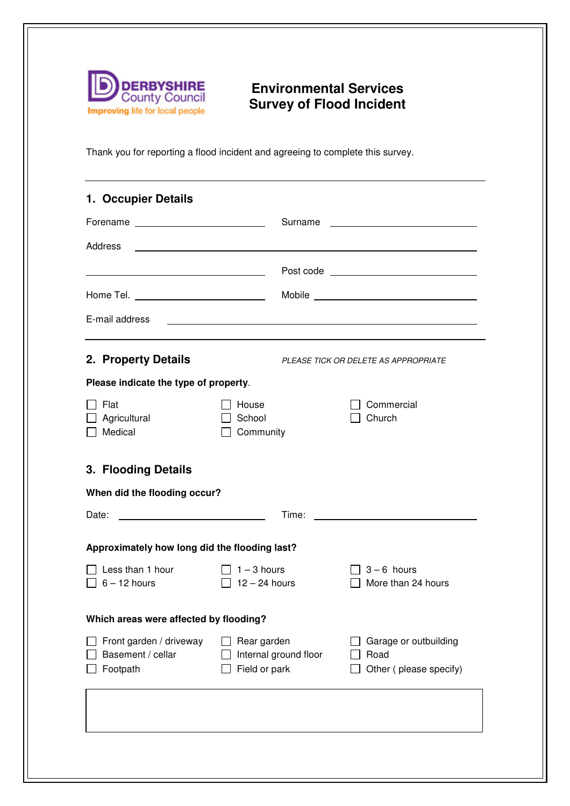

## **Environmental Services Survey of Flood Incident**

Thank you for reporting a flood incident and agreeing to complete this survey.

| 1. Occupier Details                                      |                                                                                                                            |                                                                                                                                                                                                                                      |  |  |
|----------------------------------------------------------|----------------------------------------------------------------------------------------------------------------------------|--------------------------------------------------------------------------------------------------------------------------------------------------------------------------------------------------------------------------------------|--|--|
|                                                          |                                                                                                                            | Surname <b>contract contract contract contract contract contract contract contract contract contract contract contract contract contract contract contract contract contract contract contract contract contract contract contra</b> |  |  |
| Address                                                  | <u>and the contract of the contract of the contract of the contract of the contract of the contract of the contract of</u> |                                                                                                                                                                                                                                      |  |  |
|                                                          |                                                                                                                            |                                                                                                                                                                                                                                      |  |  |
| Home Tel. ________________________________               |                                                                                                                            |                                                                                                                                                                                                                                      |  |  |
| E-mail address                                           |                                                                                                                            | and the control of the control of the control of the control of the control of the control of the control of the                                                                                                                     |  |  |
| 2. Property Details                                      |                                                                                                                            | PLEASE TICK OR DELETE AS APPROPRIATE                                                                                                                                                                                                 |  |  |
| Please indicate the type of property.                    |                                                                                                                            |                                                                                                                                                                                                                                      |  |  |
| Flat<br>Agricultural<br>Medical                          | House<br>School<br>Community                                                                                               | Commercial<br>Church                                                                                                                                                                                                                 |  |  |
| 3. Flooding Details                                      |                                                                                                                            |                                                                                                                                                                                                                                      |  |  |
| When did the flooding occur?                             |                                                                                                                            |                                                                                                                                                                                                                                      |  |  |
| Date:                                                    | Time:                                                                                                                      |                                                                                                                                                                                                                                      |  |  |
| Approximately how long did the flooding last?            |                                                                                                                            |                                                                                                                                                                                                                                      |  |  |
| Less than 1 hour<br>$6 - 12$ hours                       | $\Box$ 1 – 3 hours<br>$\Box$ 12 – 24 hours                                                                                 | $\sqrt{3} - 6$ hours<br>More than 24 hours                                                                                                                                                                                           |  |  |
| Which areas were affected by flooding?                   |                                                                                                                            |                                                                                                                                                                                                                                      |  |  |
| Front garden / driveway<br>Basement / cellar<br>Footpath | Rear garden<br>Internal ground floor<br>Field or park                                                                      | Garage or outbuilding<br>Road<br>Other (please specify)                                                                                                                                                                              |  |  |
|                                                          |                                                                                                                            |                                                                                                                                                                                                                                      |  |  |
|                                                          |                                                                                                                            |                                                                                                                                                                                                                                      |  |  |